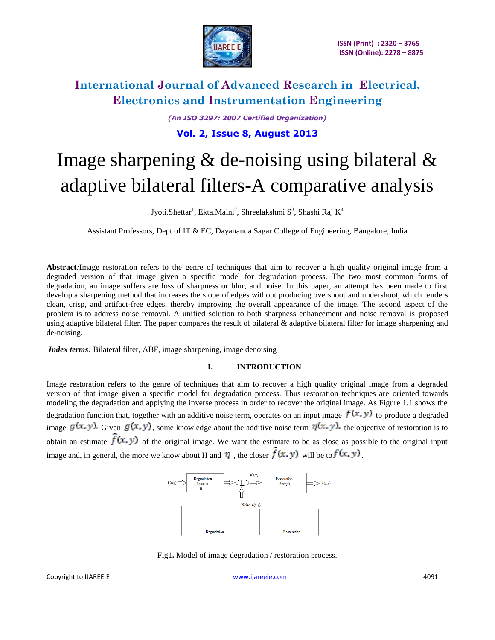

*(An ISO 3297: 2007 Certified Organization)* **Vol. 2, Issue 8, August 2013**

# Image sharpening & de-noising using bilateral & adaptive bilateral filters-A comparative analysis

Jyoti.Shettar<sup>1</sup>, Ekta.Maini<sup>2</sup>, Shreelakshmi S<sup>3</sup>, Shashi Raj K<sup>4</sup>

Assistant Professors, Dept of IT & EC, Dayananda Sagar College of Engineering, Bangalore, India

**Abstract***:*Image restoration refers to the genre of techniques that aim to recover a high quality original image from a degraded version of that image given a specific model for degradation process. The two most common forms of degradation, an image suffers are loss of sharpness or blur, and noise. In this paper, an attempt has been made to first develop a sharpening method that increases the slope of edges without producing overshoot and undershoot, which renders clean, crisp, and artifact-free edges, thereby improving the overall appearance of the image. The second aspect of the problem is to address noise removal. A unified solution to both sharpness enhancement and noise removal is proposed using adaptive bilateral filter. The paper compares the result of bilateral & adaptive bilateral filter for image sharpening and de-noising.

*Index terms*: Bilateral filter, ABF, image sharpening, image denoising

#### **I. INTRODUCTION**

Image restoration refers to the genre of techniques that aim to recover a high quality original image from a degraded version of that image given a specific model for degradation process. Thus restoration techniques are oriented towards modeling the degradation and applying the inverse process in order to recover the original image. As Figure 1.1 shows the degradation function that, together with an additive noise term, operates on an input image  $f(x, y)$  to produce a degraded image  $g(x, y)$ . Given  $g(x, y)$ , some knowledge about the additive noise term  $\eta(x, y)$ , the objective of restoration is to obtain an estimate  $\hat{f}(x, y)$  of the original image. We want the estimate to be as close as possible to the original input image and, in general, the more we know about H and  $\eta$ , the closer  $\overline{f}(x, y)$  will be to  $f(x, y)$ .



Fig1**.** Model of image degradation / restoration process.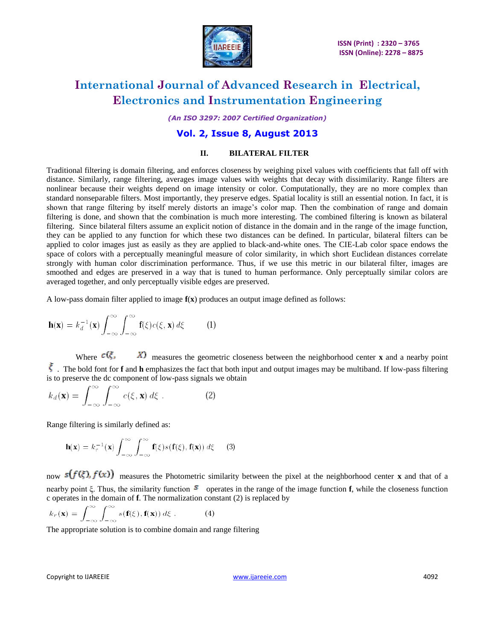

*(An ISO 3297: 2007 Certified Organization)*

## **Vol. 2, Issue 8, August 2013**

### **II. BILATERAL FILTER**

Traditional filtering is domain filtering, and enforces closeness by weighing pixel values with coefficients that fall off with distance. Similarly, range filtering, averages image values with weights that decay with dissimilarity. Range filters are nonlinear because their weights depend on image intensity or color. Computationally, they are no more complex than standard nonseparable filters. Most importantly, they preserve edges. Spatial locality is still an essential notion. In fact, it is shown that range filtering by itself merely distorts an image's color map. Then the combination of range and domain filtering is done, and shown that the combination is much more interesting. The combined filtering is known as bilateral filtering. Since bilateral filters assume an explicit notion of distance in the domain and in the range of the image function, they can be applied to any function for which these two distances can be defined. In particular, bilateral filters can be applied to color images just as easily as they are applied to black-and-white ones. The CIE-Lab color space endows the space of colors with a perceptually meaningful measure of color similarity, in which short Euclidean distances correlate strongly with human color discrimination performance. Thus, if we use this metric in our bilateral filter, images are smoothed and edges are preserved in a way that is tuned to human performance. Only perceptually similar colors are averaged together, and only perceptually visible edges are preserved.

A low-pass domain filter applied to image **f**(**x**) produces an output image defined as follows:

$$
\mathbf{h}(\mathbf{x}) = k_d^{-1}(\mathbf{x}) \int_{-\infty}^{\infty} \int_{-\infty}^{\infty} \mathbf{f}(\xi) c(\xi, \mathbf{x}) d\xi \tag{1}
$$

Where  $c(\xi, X)$  measures the geometric closeness between the neighborhood center **x** and a nearby point The bold font for **f** and **h** emphasizes the fact that both input and output images may be multiband. If low-pass filtering is to preserve the dc component of low-pass signals we obtain

$$
k_d(\mathbf{x}) = \int_{-\infty}^{\infty} \int_{-\infty}^{\infty} c(\xi, \mathbf{x}) d\xi . \tag{2}
$$

Range filtering is similarly defined as:

$$
\mathbf{h}(\mathbf{x}) = k_r^{-1}(\mathbf{x}) \int_{-\infty}^{\infty} \int_{-\infty}^{\infty} \mathbf{f}(\xi) s(\mathbf{f}(\xi), \mathbf{f}(\mathbf{x})) d\xi \qquad (3)
$$

now  $s(f(\xi), f(x))$  measures the Photometric similarity between the pixel at the neighborhood center **x** and that of a nearby point  $\xi$ . Thus, the similarity function  $\zeta$  operates in the range of the image function **f**, while the closeness function c operates in the domain of **f**. The normalization constant (2) is replaced by

$$
k_r(\mathbf{x}) = \int_{-\infty}^{\infty} \int_{-\infty}^{\infty} s(\mathbf{f}(\xi), \mathbf{f}(\mathbf{x})) d\xi . \tag{4}
$$

The appropriate solution is to combine domain and range filtering

Copyright to IJAREEIE [www.ijareeie.com](http://www.ijareeie.com/) 4092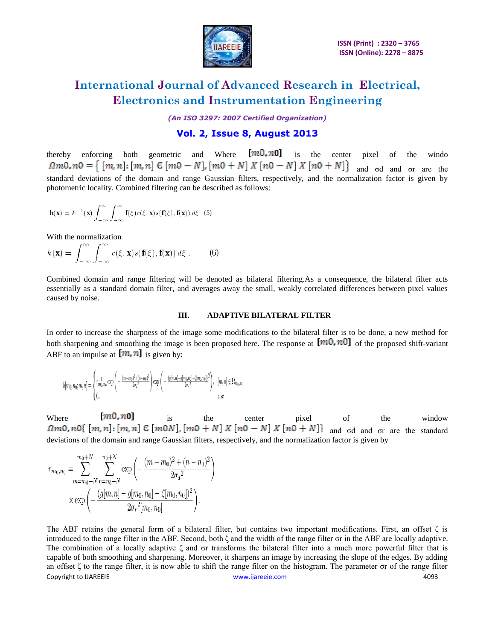

*(An ISO 3297: 2007 Certified Organization)*

## **Vol. 2, Issue 8, August 2013**

thereby enforcing both geometric and Where  $[m0, n0]$  is the center pixel of the windo  $\Omega m0, n0 = \{ [m, n] : [m, n] \in [m0 - N], [m0 + N] \}$   $[X [n0 - N] \times [n0 + N] \}$  and  $\sigma d$  and  $\sigma r$  are the and σd and σr are the standard deviations of the domain and range Gaussian filters, respectively, and the normalization factor is given by photometric locality. Combined filtering can be described as follows:

$$
\mathbf{h}(\mathbf{x}) = k^{-1}(\mathbf{x}) \int_{-\infty}^{\infty} \int_{-\infty}^{\infty} \mathbf{f}(\xi) c(\xi, \mathbf{x}) s(\mathbf{f}(\xi), \mathbf{f}(\mathbf{x})) d\xi \tag{5}
$$

With the normalization

$$
k(\mathbf{x}) = \int_{-\infty}^{\infty} \int_{-\infty}^{\infty} c(\xi, \mathbf{x}) s(\mathbf{f}(\xi), \mathbf{f}(\mathbf{x})) d\xi . \quad (6)
$$

Combined domain and range filtering will be denoted as bilateral filtering.As a consequence, the bilateral filter acts essentially as a standard domain filter, and averages away the small, weakly correlated differences between pixel values caused by noise.

#### **III. ADAPTIVE BILATERAL FILTER**

In order to increase the sharpness of the image some modifications to the bilateral filter is to be done, a new method for both sharpening and smoothing the image is been proposed here. The response at  $[m0, n0]$  of the proposed shift-variant ABF to an impulse at  $[m, n]$  is given by:

$$
h[m_0,n_0;m,n]=\begin{cases} r_{m_0,n_0}^{-1}\exp\left(-\frac{(m-m_0)^2+(n-n_0)^2}{2{\sigma_d}^2}\right)\exp\left(-\frac{(g[m,n]-g[m_0,n_0]-\zeta[m_0,n_0])^2}{2{\sigma_r}^2}\right), & [m,n]\in\Omega_{m_0,n_0}\in\mathbb{R}^d,\\ 0, & \text{else}\end{cases}
$$

Where  $[m0,n0]$  is the center pixel of the window  $\Omega$ m0, n0{ $[m, n]$ :  $[m, n]$   $\in$   $[m0N]$ ,  $[m0 + N]$   $X[n0 - N]$   $X[n0 + N]$ } and  $\sigma$ d and  $\sigma$ r are the standard deviations of the domain and range Gaussian filters, respectively, and the normalization factor is given by

$$
r_{m_0,n_0} = \sum_{m=m_0-N}^{m_0+N} \sum_{n=n_0-N}^{n_0+N} \exp\left(-\frac{(m-m_0)^2 + (n-n_0)^2}{2\sigma_d^2}\right)
$$

$$
\times \exp\left(-\frac{(g[m,n]-g[m_0,n_0]-\zeta[m_0,n_0])^2}{2\sigma_r^2[m_0,n_0]}\right).
$$

Copyright to IJAREEIE [www.ijareeie.com](http://www.ijareeie.com/) 4093 The ABF retains the general form of a bilateral filter, but contains two important modifications. First, an offset  $\zeta$  is introduced to the range filter in the ABF. Second, both ζ and the width of the range filter σr in the ABF are locally adaptive. The combination of a locally adaptive ζ and σr transforms the bilateral filter into a much more powerful filter that is capable of both smoothing and sharpening. Moreover, it sharpens an image by increasing the slope of the edges. By adding an offset ζ to the range filter, it is now able to shift the range filter on the histogram. The parameter σr of the range filter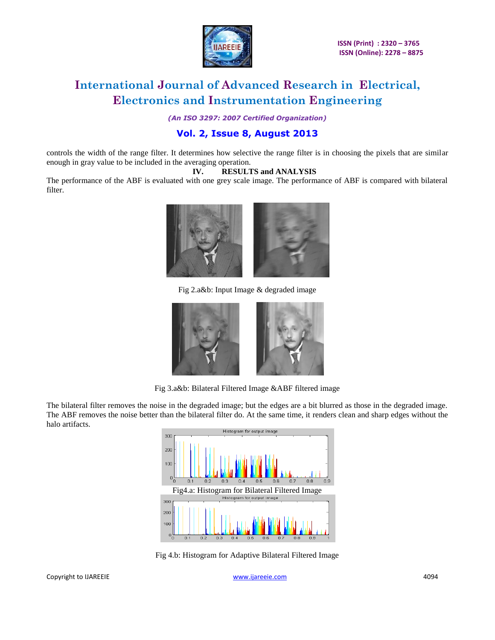

*(An ISO 3297: 2007 Certified Organization)*

## **Vol. 2, Issue 8, August 2013**

controls the width of the range filter. It determines how selective the range filter is in choosing the pixels that are similar enough in gray value to be included in the averaging operation.

#### **IV. RESULTS and ANALYSIS**

The performance of the ABF is evaluated with one grey scale image. The performance of ABF is compared with bilateral filter.



Fig 2.a&b: Input Image & degraded image



Fig 3.a&b: Bilateral Filtered Image &ABF filtered image

The bilateral filter removes the noise in the degraded image; but the edges are a bit blurred as those in the degraded image. The ABF removes the noise better than the bilateral filter do. At the same time, it renders clean and sharp edges without the halo artifacts.



Fig 4.b: Histogram for Adaptive Bilateral Filtered Image

Copyright to IJAREEIE [www.ijareeie.com](http://www.ijareeie.com/) 4094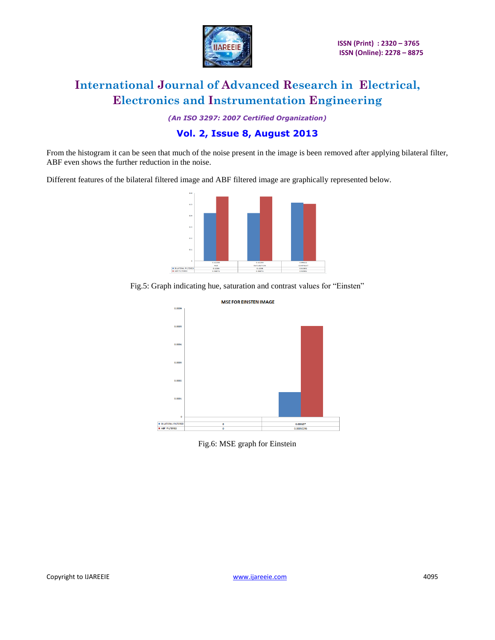

*(An ISO 3297: 2007 Certified Organization)*

## **Vol. 2, Issue 8, August 2013**

From the histogram it can be seen that much of the noise present in the image is been removed after applying bilateral filter, ABF even shows the further reduction in the noise.

Different features of the bilateral filtered image and ABF filtered image are graphically represented below.







Fig.6: MSE graph for Einstein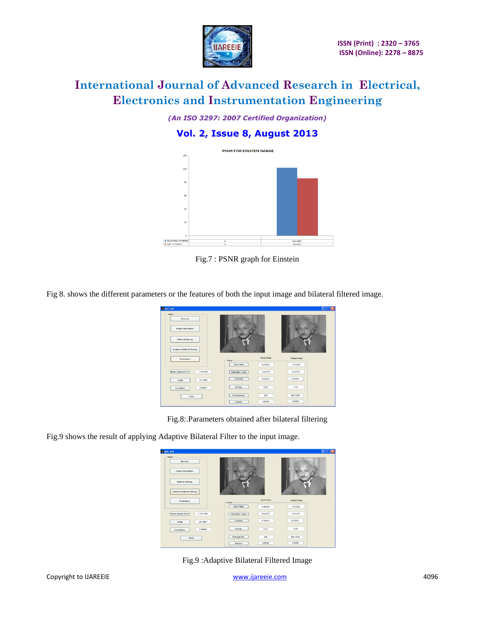

*(An ISO 3297: 2007 Certified Organization)* **Vol. 2, Issue 8, August 2013**



Fig.7 : PSNR graph for Einstein

Fig 8. shows the different parameters or the features of both the input image and bilateral filtered image.



Fig.8:.Parameters obtained after bilateral filtering

Fig.9 shows the result of applying Adaptive Bilateral Filter to the input image.



Fig.9 :Adaptive Bilateral Filtered Image